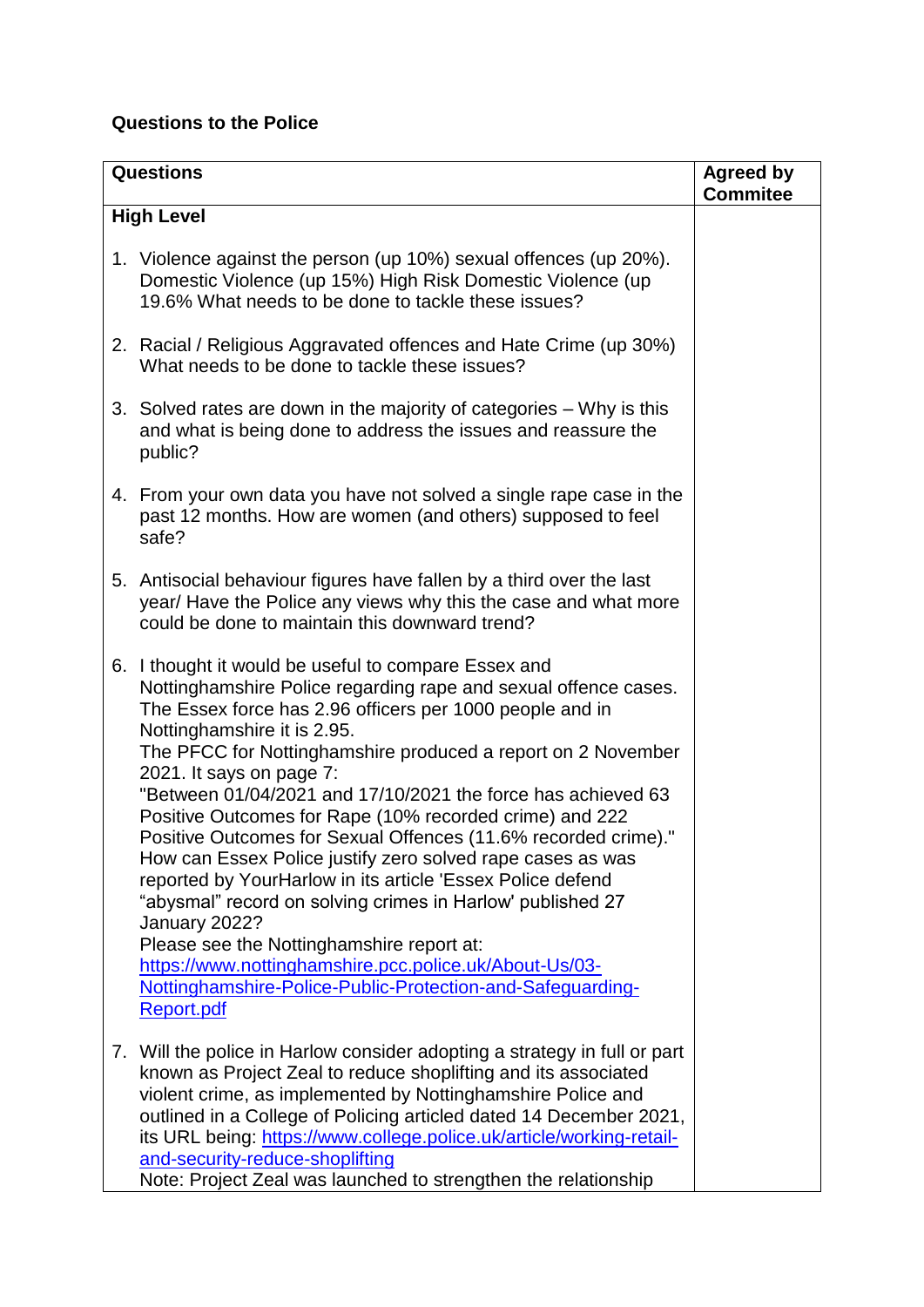## **Questions to the Police**

| <b>Questions</b>                                                                                                                                                                                                                                                                                                                                                                                                                                                                                                                                                                                                                                                                                                                                                                                                                                                                                          | <b>Agreed by</b><br><b>Commitee</b> |
|-----------------------------------------------------------------------------------------------------------------------------------------------------------------------------------------------------------------------------------------------------------------------------------------------------------------------------------------------------------------------------------------------------------------------------------------------------------------------------------------------------------------------------------------------------------------------------------------------------------------------------------------------------------------------------------------------------------------------------------------------------------------------------------------------------------------------------------------------------------------------------------------------------------|-------------------------------------|
| <b>High Level</b>                                                                                                                                                                                                                                                                                                                                                                                                                                                                                                                                                                                                                                                                                                                                                                                                                                                                                         |                                     |
| 1. Violence against the person (up 10%) sexual offences (up 20%).<br>Domestic Violence (up 15%) High Risk Domestic Violence (up<br>19.6% What needs to be done to tackle these issues?                                                                                                                                                                                                                                                                                                                                                                                                                                                                                                                                                                                                                                                                                                                    |                                     |
| 2. Racial / Religious Aggravated offences and Hate Crime (up 30%)<br>What needs to be done to tackle these issues?                                                                                                                                                                                                                                                                                                                                                                                                                                                                                                                                                                                                                                                                                                                                                                                        |                                     |
| 3. Solved rates are down in the majority of categories – Why is this<br>and what is being done to address the issues and reassure the<br>public?                                                                                                                                                                                                                                                                                                                                                                                                                                                                                                                                                                                                                                                                                                                                                          |                                     |
| 4. From your own data you have not solved a single rape case in the<br>past 12 months. How are women (and others) supposed to feel<br>safe?                                                                                                                                                                                                                                                                                                                                                                                                                                                                                                                                                                                                                                                                                                                                                               |                                     |
| 5. Antisocial behaviour figures have fallen by a third over the last<br>year/ Have the Police any views why this the case and what more<br>could be done to maintain this downward trend?                                                                                                                                                                                                                                                                                                                                                                                                                                                                                                                                                                                                                                                                                                                 |                                     |
| 6. I thought it would be useful to compare Essex and<br>Nottinghamshire Police regarding rape and sexual offence cases.<br>The Essex force has 2.96 officers per 1000 people and in<br>Nottinghamshire it is 2.95.<br>The PFCC for Nottinghamshire produced a report on 2 November<br>2021. It says on page 7:<br>"Between 01/04/2021 and 17/10/2021 the force has achieved 63<br>Positive Outcomes for Rape (10% recorded crime) and 222<br>Positive Outcomes for Sexual Offences (11.6% recorded crime)."<br>How can Essex Police justify zero solved rape cases as was<br>reported by YourHarlow in its article 'Essex Police defend<br>"abysmal" record on solving crimes in Harlow' published 27<br>January 2022?<br>Please see the Nottinghamshire report at:<br>https://www.nottinghamshire.pcc.police.uk/About-Us/03-<br>Nottinghamshire-Police-Public-Protection-and-Safeguarding-<br>Report.pdf |                                     |
| 7. Will the police in Harlow consider adopting a strategy in full or part<br>known as Project Zeal to reduce shoplifting and its associated<br>violent crime, as implemented by Nottinghamshire Police and<br>outlined in a College of Policing articled dated 14 December 2021,<br>its URL being: https://www.college.police.uk/article/working-retail-<br>and-security-reduce-shoplifting<br>Note: Project Zeal was launched to strengthen the relationship                                                                                                                                                                                                                                                                                                                                                                                                                                             |                                     |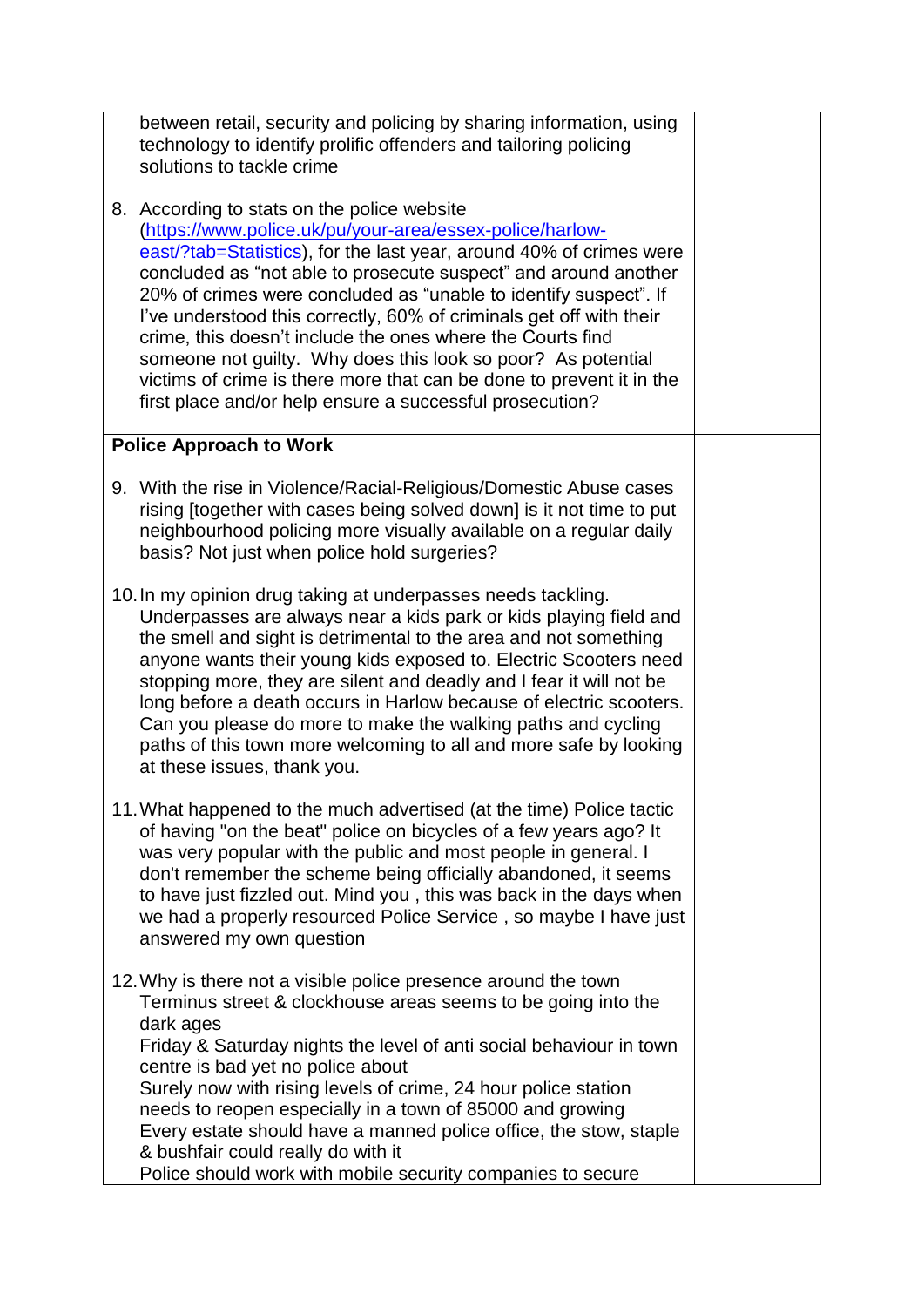technology to identify prolific offenders and tailoring policing solutions to tackle crime 8. According to stats on the police website [\(https://www.police.uk/pu/your-area/essex-police/harlow](https://www.police.uk/pu/your-area/essex-police/harlow-east/?tab=Statistics)[east/?tab=Statistics\)](https://www.police.uk/pu/your-area/essex-police/harlow-east/?tab=Statistics), for the last year, around 40% of crimes were concluded as "not able to prosecute suspect" and around another 20% of crimes were concluded as "unable to identify suspect". If I've understood this correctly, 60% of criminals get off with their crime, this doesn't include the ones where the Courts find someone not guilty. Why does this look so poor? As potential victims of crime is there more that can be done to prevent it in the first place and/or help ensure a successful prosecution? **Police Approach to Work** 9. With the rise in Violence/Racial-Religious/Domestic Abuse cases rising Itogether with cases being solved downl is it not time to put neighbourhood policing more visually available on a regular daily basis? Not just when police hold surgeries? 10.In my opinion drug taking at underpasses needs tackling. Underpasses are always near a kids park or kids playing field and the smell and sight is detrimental to the area and not something anyone wants their young kids exposed to. Electric Scooters need stopping more, they are silent and deadly and I fear it will not be long before a death occurs in Harlow because of electric scooters. Can you please do more to make the walking paths and cycling paths of this town more welcoming to all and more safe by looking at these issues, thank you. 11.What happened to the much advertised (at the time) Police tactic of having "on the beat" police on bicycles of a few years ago? It was very popular with the public and most people in general. I don't remember the scheme being officially abandoned, it seems to have just fizzled out. Mind you , this was back in the days when we had a properly resourced Police Service , so maybe I have just answered my own question 12.Why is there not a visible police presence around the town Terminus street & clockhouse areas seems to be going into the dark ages Friday & Saturday nights the level of anti social behaviour in town centre is bad yet no police about Surely now with rising levels of crime, 24 hour police station needs to reopen especially in a town of 85000 and growing Every estate should have a manned police office, the stow, staple & bushfair could really do with it Police should work with mobile security companies to secure

between retail, security and policing by sharing information, using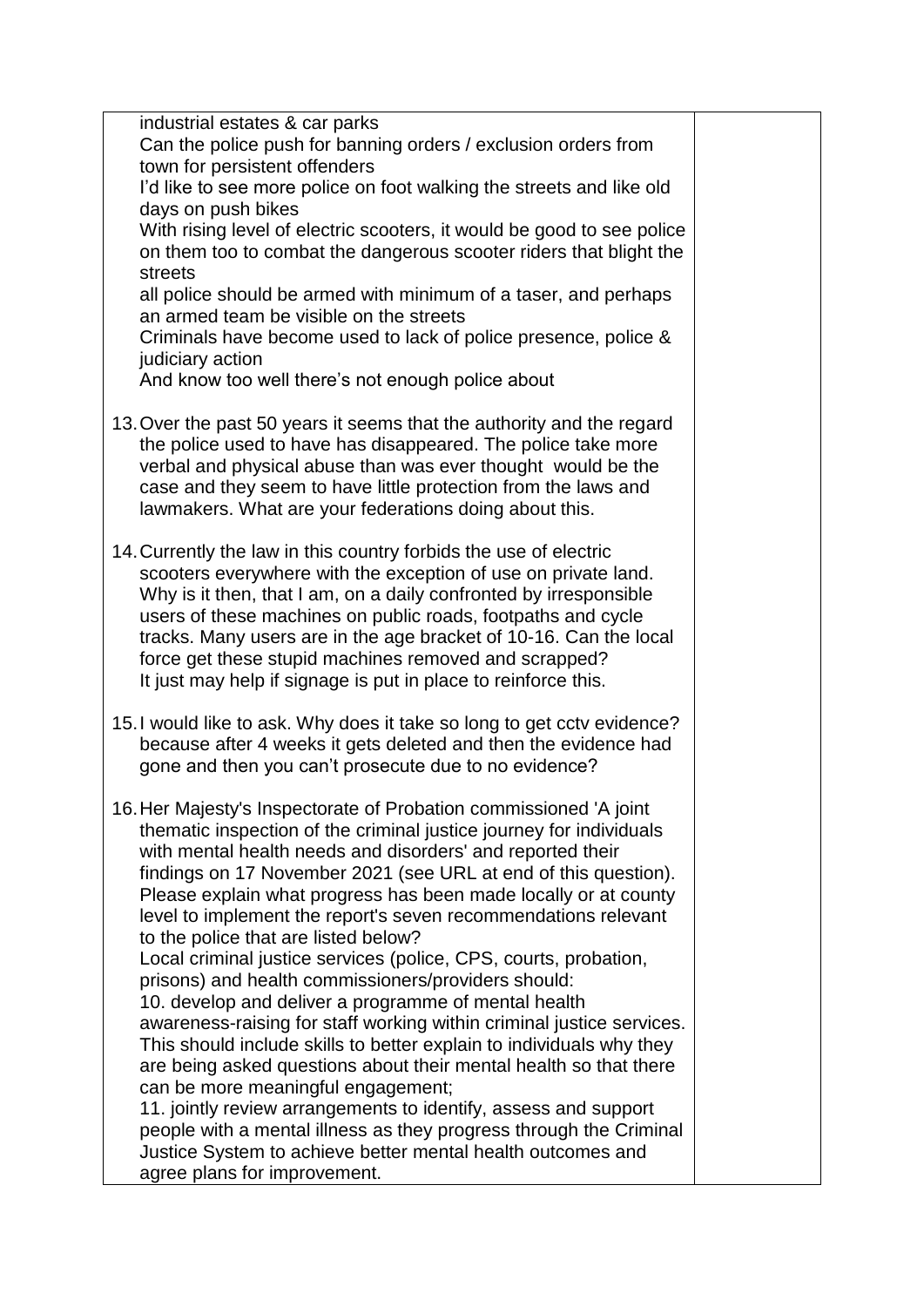| industrial estates & car parks<br>Can the police push for banning orders / exclusion orders from<br>town for persistent offenders<br>I'd like to see more police on foot walking the streets and like old<br>days on push bikes<br>With rising level of electric scooters, it would be good to see police<br>on them too to combat the dangerous scooter riders that blight the<br>streets<br>all police should be armed with minimum of a taser, and perhaps<br>an armed team be visible on the streets<br>Criminals have become used to lack of police presence, police & |  |
|-----------------------------------------------------------------------------------------------------------------------------------------------------------------------------------------------------------------------------------------------------------------------------------------------------------------------------------------------------------------------------------------------------------------------------------------------------------------------------------------------------------------------------------------------------------------------------|--|
| judiciary action<br>And know too well there's not enough police about                                                                                                                                                                                                                                                                                                                                                                                                                                                                                                       |  |
| 13. Over the past 50 years it seems that the authority and the regard<br>the police used to have has disappeared. The police take more<br>verbal and physical abuse than was ever thought would be the<br>case and they seem to have little protection from the laws and<br>lawmakers. What are your federations doing about this.                                                                                                                                                                                                                                          |  |
| 14. Currently the law in this country forbids the use of electric<br>scooters everywhere with the exception of use on private land.<br>Why is it then, that I am, on a daily confronted by irresponsible<br>users of these machines on public roads, footpaths and cycle<br>tracks. Many users are in the age bracket of 10-16. Can the local<br>force get these stupid machines removed and scrapped?<br>It just may help if signage is put in place to reinforce this.                                                                                                    |  |
| 15. I would like to ask. Why does it take so long to get cctv evidence?<br>because after 4 weeks it gets deleted and then the evidence had<br>gone and then you can't prosecute due to no evidence?                                                                                                                                                                                                                                                                                                                                                                         |  |
| 16. Her Majesty's Inspectorate of Probation commissioned 'A joint<br>thematic inspection of the criminal justice journey for individuals<br>with mental health needs and disorders' and reported their<br>findings on 17 November 2021 (see URL at end of this question).<br>Please explain what progress has been made locally or at county<br>level to implement the report's seven recommendations relevant<br>to the police that are listed below?                                                                                                                      |  |
| Local criminal justice services (police, CPS, courts, probation,<br>prisons) and health commissioners/providers should:<br>10. develop and deliver a programme of mental health<br>awareness-raising for staff working within criminal justice services.                                                                                                                                                                                                                                                                                                                    |  |
| This should include skills to better explain to individuals why they<br>are being asked questions about their mental health so that there<br>can be more meaningful engagement;                                                                                                                                                                                                                                                                                                                                                                                             |  |
| 11. jointly review arrangements to identify, assess and support<br>people with a mental illness as they progress through the Criminal<br>Justice System to achieve better mental health outcomes and<br>agree plans for improvement.                                                                                                                                                                                                                                                                                                                                        |  |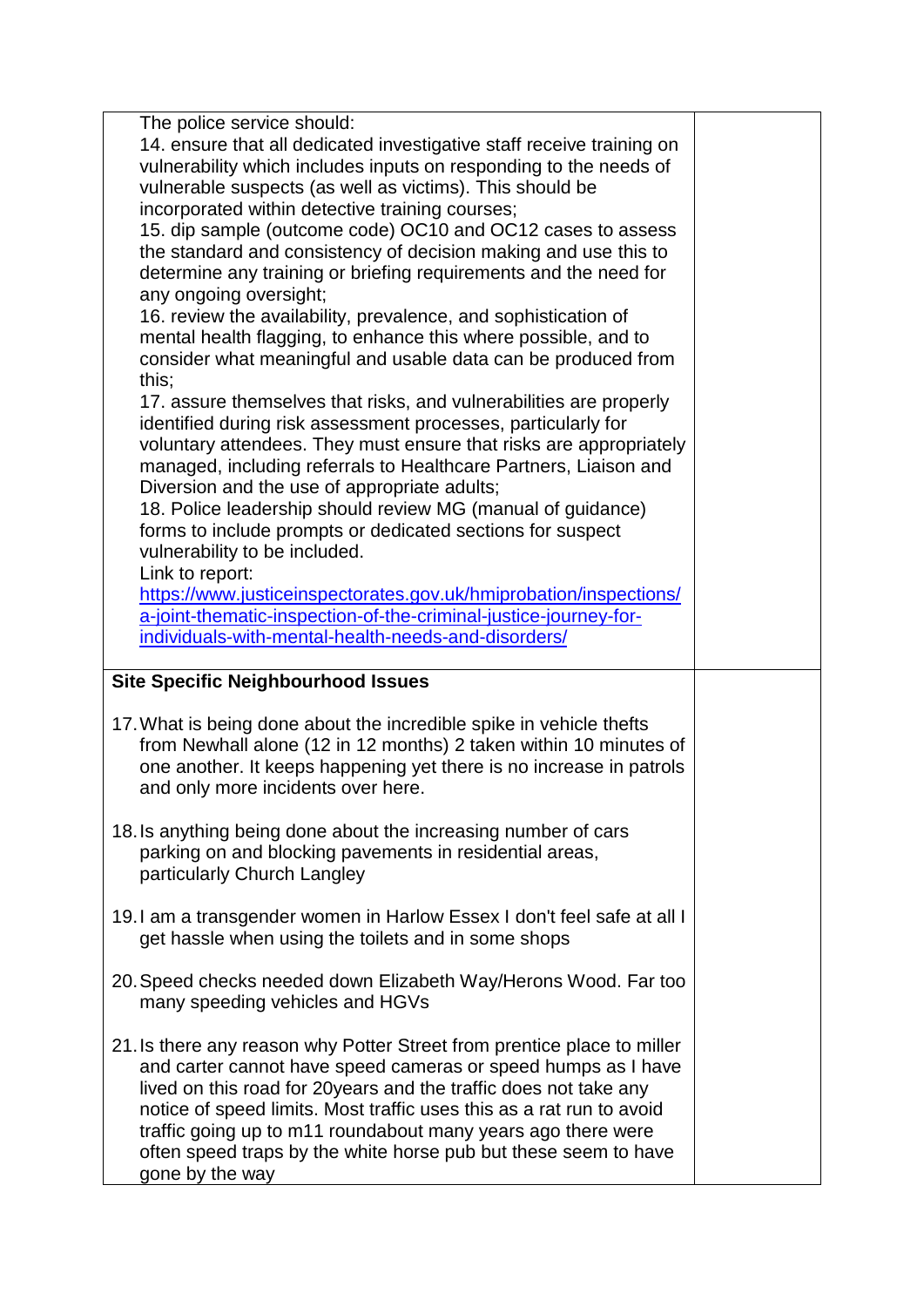| The police service should:<br>14. ensure that all dedicated investigative staff receive training on<br>vulnerability which includes inputs on responding to the needs of<br>vulnerable suspects (as well as victims). This should be<br>incorporated within detective training courses;<br>15. dip sample (outcome code) OC10 and OC12 cases to assess<br>the standard and consistency of decision making and use this to<br>determine any training or briefing requirements and the need for<br>any ongoing oversight;<br>16. review the availability, prevalence, and sophistication of<br>mental health flagging, to enhance this where possible, and to<br>consider what meaningful and usable data can be produced from<br>this;<br>17. assure themselves that risks, and vulnerabilities are properly<br>identified during risk assessment processes, particularly for<br>voluntary attendees. They must ensure that risks are appropriately<br>managed, including referrals to Healthcare Partners, Liaison and<br>Diversion and the use of appropriate adults;<br>18. Police leadership should review MG (manual of guidance)<br>forms to include prompts or dedicated sections for suspect<br>vulnerability to be included.<br>Link to report:<br>https://www.justiceinspectorates.gov.uk/hmiprobation/inspections/<br>a-joint-thematic-inspection-of-the-criminal-justice-journey-for-<br>individuals-with-mental-health-needs-and-disorders/ |  |
|---------------------------------------------------------------------------------------------------------------------------------------------------------------------------------------------------------------------------------------------------------------------------------------------------------------------------------------------------------------------------------------------------------------------------------------------------------------------------------------------------------------------------------------------------------------------------------------------------------------------------------------------------------------------------------------------------------------------------------------------------------------------------------------------------------------------------------------------------------------------------------------------------------------------------------------------------------------------------------------------------------------------------------------------------------------------------------------------------------------------------------------------------------------------------------------------------------------------------------------------------------------------------------------------------------------------------------------------------------------------------------------------------------------------------------------------------------|--|
|                                                                                                                                                                                                                                                                                                                                                                                                                                                                                                                                                                                                                                                                                                                                                                                                                                                                                                                                                                                                                                                                                                                                                                                                                                                                                                                                                                                                                                                         |  |
| <b>Site Specific Neighbourhood Issues</b>                                                                                                                                                                                                                                                                                                                                                                                                                                                                                                                                                                                                                                                                                                                                                                                                                                                                                                                                                                                                                                                                                                                                                                                                                                                                                                                                                                                                               |  |
| 17. What is being done about the incredible spike in vehicle thefts<br>from Newhall alone (12 in 12 months) 2 taken within 10 minutes of<br>one another. It keeps happening yet there is no increase in patrols<br>and only more incidents over here.                                                                                                                                                                                                                                                                                                                                                                                                                                                                                                                                                                                                                                                                                                                                                                                                                                                                                                                                                                                                                                                                                                                                                                                                   |  |
| 18. Is anything being done about the increasing number of cars<br>parking on and blocking pavements in residential areas,<br>particularly Church Langley                                                                                                                                                                                                                                                                                                                                                                                                                                                                                                                                                                                                                                                                                                                                                                                                                                                                                                                                                                                                                                                                                                                                                                                                                                                                                                |  |
| 19. I am a transgender women in Harlow Essex I don't feel safe at all I<br>get hassle when using the toilets and in some shops                                                                                                                                                                                                                                                                                                                                                                                                                                                                                                                                                                                                                                                                                                                                                                                                                                                                                                                                                                                                                                                                                                                                                                                                                                                                                                                          |  |
| 20. Speed checks needed down Elizabeth Way/Herons Wood. Far too<br>many speeding vehicles and HGVs                                                                                                                                                                                                                                                                                                                                                                                                                                                                                                                                                                                                                                                                                                                                                                                                                                                                                                                                                                                                                                                                                                                                                                                                                                                                                                                                                      |  |
| 21. Is there any reason why Potter Street from prentice place to miller<br>and carter cannot have speed cameras or speed humps as I have<br>lived on this road for 20years and the traffic does not take any<br>notice of speed limits. Most traffic uses this as a rat run to avoid<br>traffic going up to m11 roundabout many years ago there were<br>often speed traps by the white horse pub but these seem to have<br>gone by the way                                                                                                                                                                                                                                                                                                                                                                                                                                                                                                                                                                                                                                                                                                                                                                                                                                                                                                                                                                                                              |  |